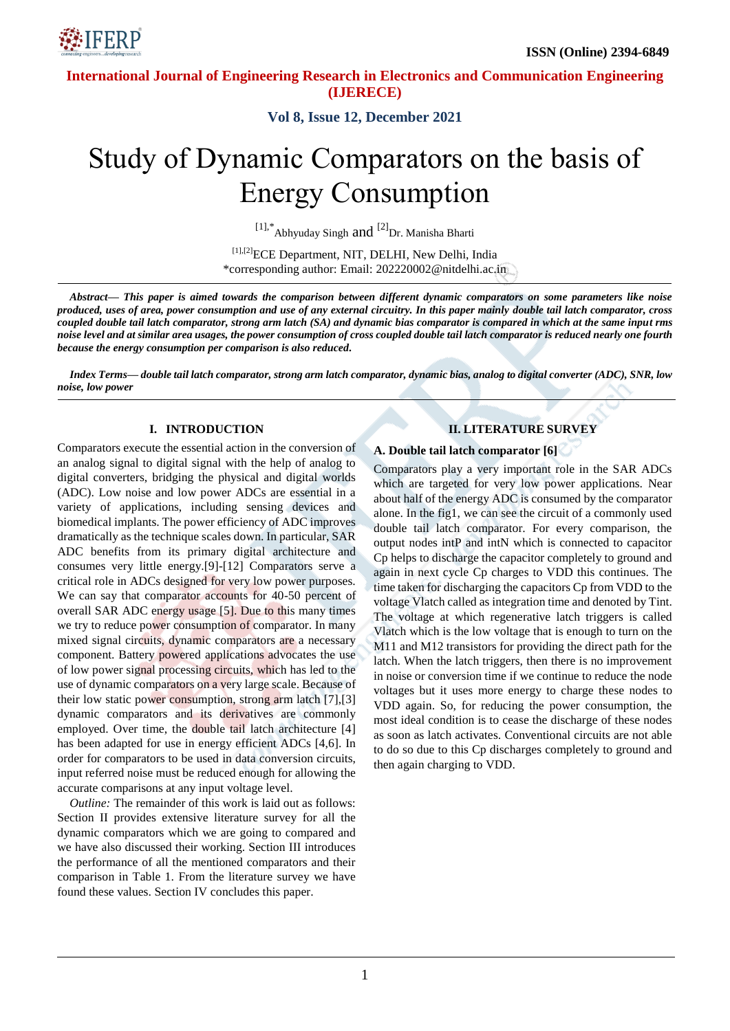



**Vol 8, Issue 12, December 2021**

# Study of Dynamic Comparators on the basis of Energy Consumption

[1],\* Abhyuday Singh and <sup>[2]</sup>Dr. Manisha Bharti

[1],[2]<sub>ECE</sub> Department, NIT, DELHI, New Delhi, India \*corresponding author: Email: 202220002@nitdelhi.ac.in

*Abstract— This paper is aimed towards the comparison between different dynamic comparators on some parameters like noise produced, uses of area, power consumption and use of any external circuitry. In this paper mainly double tail latch comparator, cross coupled double tail latch comparator, strong arm latch (SA) and dynamic bias comparator is compared in which at the same input rms noise level and at similar area usages, the power consumption of cross coupled double tail latch comparator is reduced nearly one fourth because the energy consumption per comparison is also reduced.*

*Index Terms— double tail latch comparator, strong arm latch comparator, dynamic bias, analog to digital converter (ADC), SNR, low noise, low power*

#### **I. INTRODUCTION**

Comparators execute the essential action in the conversion of an analog signal to digital signal with the help of analog to digital converters, bridging the physical and digital worlds (ADC). Low noise and low power ADCs are essential in a variety of applications, including sensing devices and biomedical implants. The power efficiency of ADC improves dramatically as the technique scales down. In particular, SAR ADC benefits from its primary digital architecture and consumes very little energy.[9]-[12] Comparators serve a critical role in ADCs designed for very low power purposes. We can say that comparator accounts for 40-50 percent of overall SAR ADC energy usage [5]. Due to this many times we try to reduce power consumption of comparator. In many mixed signal circuits, dynamic comparators are a necessary component. Battery powered applications advocates the use of low power signal processing circuits, which has led to the use of dynamic comparators on a very large scale. Because of their low static power consumption, strong arm latch [7],[3] dynamic comparators and its derivatives are commonly employed. Over time, the double tail latch architecture [4] has been adapted for use in energy efficient ADCs [4,6]. In order for comparators to be used in data conversion circuits, input referred noise must be reduced enough for allowing the accurate comparisons at any input voltage level.

*Outline:* The remainder of this work is laid out as follows: Section II provides extensive literature survey for all the dynamic comparators which we are going to compared and we have also discussed their working. Section III introduces the performance of all the mentioned comparators and their comparison in Table 1. From the literature survey we have found these values. Section IV concludes this paper.

## **II. LITERATURE SURVEY**

#### **A. Double tail latch comparator [6]**

Comparators play a very important role in the SAR ADCs which are targeted for very low power applications. Near about half of the energy ADC is consumed by the comparator alone. In the fig1, we can see the circuit of a commonly used double tail latch comparator. For every comparison, the output nodes intP and intN which is connected to capacitor Cp helps to discharge the capacitor completely to ground and again in next cycle Cp charges to VDD this continues. The time taken for discharging the capacitors Cp from VDD to the voltage Vlatch called as integration time and denoted by Tint. The voltage at which regenerative latch triggers is called Vlatch which is the low voltage that is enough to turn on the M11 and M12 transistors for providing the direct path for the latch. When the latch triggers, then there is no improvement in noise or conversion time if we continue to reduce the node voltages but it uses more energy to charge these nodes to VDD again. So, for reducing the power consumption, the most ideal condition is to cease the discharge of these nodes as soon as latch activates. Conventional circuits are not able to do so due to this Cp discharges completely to ground and then again charging to VDD.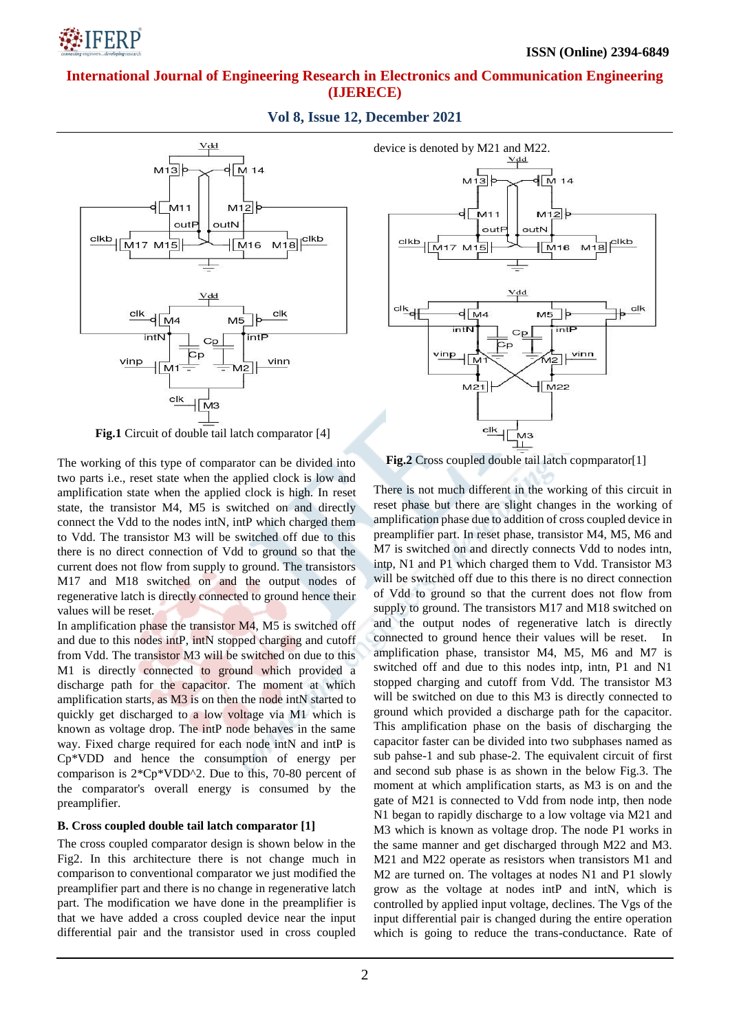

**Vol 8, Issue 12, December 2021**



**Fig.1** Circuit of double tail latch comparator [4]

The working of this type of comparator can be divided into two parts i.e., reset state when the applied clock is low and amplification state when the applied clock is high. In reset state, the transistor M4, M5 is switched on and directly connect the Vdd to the nodes intN, intP which charged them to Vdd. The transistor M3 will be switched off due to this there is no direct connection of Vdd to ground so that the current does not flow from supply to ground. The transistors M17 and M18 switched on and the output nodes of regenerative latch is directly connected to ground hence their values will be reset.

In amplification phase the transistor M4, M5 is switched off and due to this nodes intP, intN stopped charging and cutoff from Vdd. The transistor M3 will be switched on due to this M1 is directly connected to ground which provided a discharge path for the capacitor. The moment at which amplification starts, as M3 is on then the node intN started to quickly get discharged to a low voltage via M1 which is known as voltage drop. The intP node behaves in the same way. Fixed charge required for each node intN and intP is Cp\*VDD and hence the consumption of energy per comparison is 2\*Cp\*VDD^2. Due to this, 70-80 percent of the comparator's overall energy is consumed by the preamplifier.

### **B. Cross coupled double tail latch comparator [1]**

The cross coupled comparator design is shown below in the Fig2. In this architecture there is not change much in comparison to conventional comparator we just modified the preamplifier part and there is no change in regenerative latch part. The modification we have done in the preamplifier is that we have added a cross coupled device near the input differential pair and the transistor used in cross coupled



**Fig.2** Cross coupled double tail latch copmparator[1]

There is not much different in the working of this circuit in reset phase but there are slight changes in the working of amplification phase due to addition of cross coupled device in preamplifier part. In reset phase, transistor M4, M5, M6 and M7 is switched on and directly connects Vdd to nodes intn, intp, N1 and P1 which charged them to Vdd. Transistor M3 will be switched off due to this there is no direct connection of Vdd to ground so that the current does not flow from supply to ground. The transistors M17 and M18 switched on and the output nodes of regenerative latch is directly connected to ground hence their values will be reset. In amplification phase, transistor M4, M5, M6 and M7 is switched off and due to this nodes intp, intn, P1 and N1 stopped charging and cutoff from Vdd. The transistor M3 will be switched on due to this M3 is directly connected to ground which provided a discharge path for the capacitor. This amplification phase on the basis of discharging the capacitor faster can be divided into two subphases named as sub pahse-1 and sub phase-2. The equivalent circuit of first and second sub phase is as shown in the below Fig.3. The moment at which amplification starts, as M3 is on and the gate of M21 is connected to Vdd from node intp, then node N1 began to rapidly discharge to a low voltage via M21 and M3 which is known as voltage drop. The node P1 works in the same manner and get discharged through M22 and M3. M21 and M22 operate as resistors when transistors M1 and M2 are turned on. The voltages at nodes N1 and P1 slowly grow as the voltage at nodes intP and intN, which is controlled by applied input voltage, declines. The Vgs of the input differential pair is changed during the entire operation which is going to reduce the trans-conductance. Rate of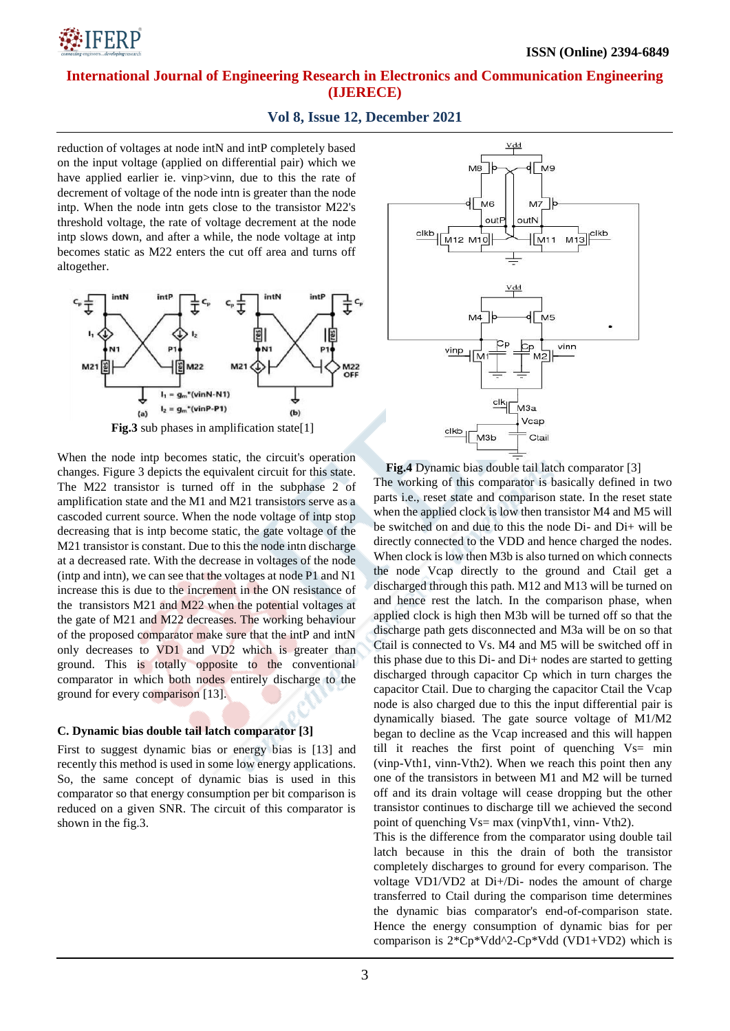

### **Vol 8, Issue 12, December 2021**

reduction of voltages at node intN and intP completely based on the input voltage (applied on differential pair) which we have applied earlier ie. vinp>vinn, due to this the rate of decrement of voltage of the node intn is greater than the node intp. When the node intn gets close to the transistor M22's threshold voltage, the rate of voltage decrement at the node intp slows down, and after a while, the node voltage at intp becomes static as M22 enters the cut off area and turns off altogether.



When the node intp becomes static, the circuit's operation changes. Figure 3 depicts the equivalent circuit for this state. The M22 transistor is turned off in the subphase 2 of amplification state and the M1 and M21 transistors serve as a cascoded current source. When the node voltage of intp stop decreasing that is intp become static, the gate voltage of the M21 transistor is constant. Due to this the node intn discharge at a decreased rate. With the decrease in voltages of the node (intp and intn), we can see that the voltages at node P1 and N1 increase this is due to the increment in the ON resistance of the transistors M21 and M22 when the potential voltages at the gate of M21 and M22 decreases. The working behaviour of the proposed comparator make sure that the intP and intN only decreases to VD1 and VD2 which is greater than ground. This is totally opposite to the conventional comparator in which both nodes entirely discharge to the ground for every comparison [13].

#### **C. Dynamic bias double tail latch comparator [3]**

First to suggest dynamic bias or energy bias is [13] and recently this method is used in some low energy applications. So, the same concept of dynamic bias is used in this comparator so that energy consumption per bit comparison is reduced on a given SNR. The circuit of this comparator is shown in the fig.3.



**Fig.4** Dynamic bias double tail latch comparator [3] The working of this comparator is basically defined in two parts i.e., reset state and comparison state. In the reset state when the applied clock is low then transistor M4 and M5 will be switched on and due to this the node Di- and Di+ will be directly connected to the VDD and hence charged the nodes. When clock is low then M3b is also turned on which connects the node Vcap directly to the ground and Ctail get a discharged through this path. M12 and M13 will be turned on and hence rest the latch. In the comparison phase, when applied clock is high then M3b will be turned off so that the discharge path gets disconnected and M3a will be on so that Ctail is connected to Vs. M4 and M5 will be switched off in this phase due to this Di- and Di+ nodes are started to getting discharged through capacitor Cp which in turn charges the capacitor Ctail. Due to charging the capacitor Ctail the Vcap node is also charged due to this the input differential pair is dynamically biased. The gate source voltage of M1/M2 began to decline as the Vcap increased and this will happen till it reaches the first point of quenching  $Vs= min$ (vinp-Vth1, vinn-Vth2). When we reach this point then any one of the transistors in between M1 and M2 will be turned off and its drain voltage will cease dropping but the other transistor continues to discharge till we achieved the second point of quenching Vs= max (vinpVth1, vinn- Vth2).

This is the difference from the comparator using double tail latch because in this the drain of both the transistor completely discharges to ground for every comparison. The voltage VD1/VD2 at Di+/Di- nodes the amount of charge transferred to Ctail during the comparison time determines the dynamic bias comparator's end-of-comparison state. Hence the energy consumption of dynamic bias for per comparison is  $2*Cp*Vdd^2-Cp*Vdd$  (VD1+VD2) which is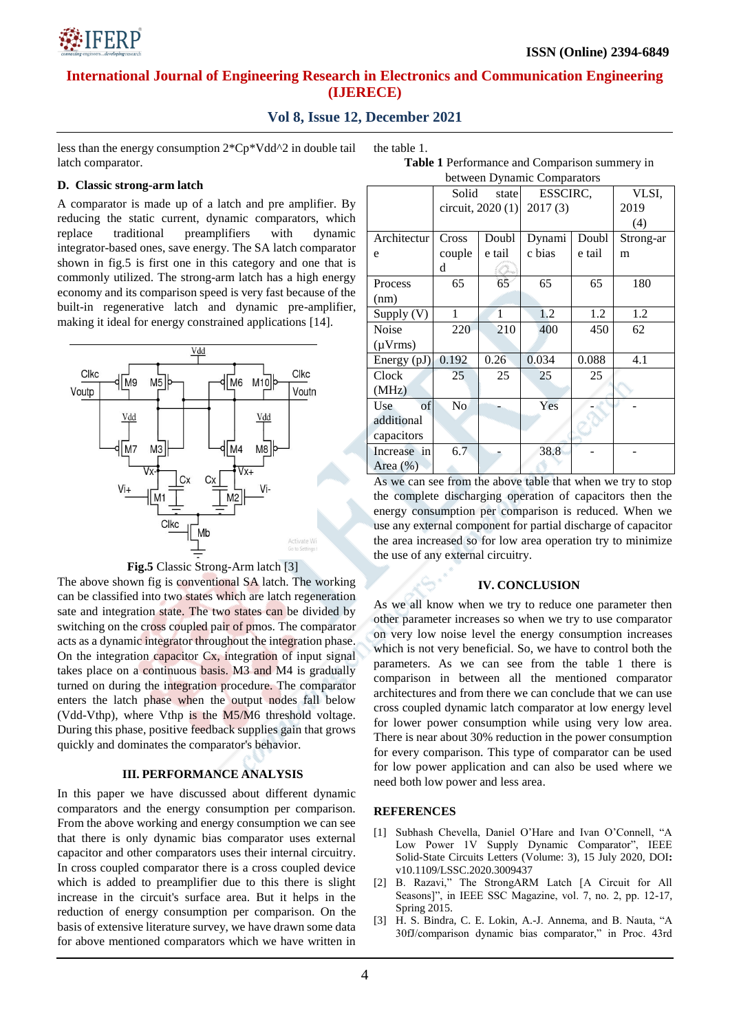

## **Vol 8, Issue 12, December 2021**

less than the energy consumption 2\*Cp\*Vdd^2 in double tail latch comparator.

# **D. Classic strong-arm latch**

A comparator is made up of a latch and pre amplifier. By reducing the static current, dynamic comparators, which replace traditional preamplifiers with dynamic integrator-based ones, save energy. The SA latch comparator shown in fig.5 is first one in this category and one that is commonly utilized. The strong-arm latch has a high energy economy and its comparison speed is very fast because of the built-in regenerative latch and dynamic pre-amplifier, making it ideal for energy constrained applications [14].





The above shown fig is conventional SA latch. The working can be classified into two states which are latch regeneration sate and integration state. The two states can be divided by switching on the cross coupled pair of pmos. The comparator acts as a dynamic integrator throughout the integration phase. On the integration capacitor Cx, integration of input signal takes place on a continuous basis. M3 and M4 is gradually turned on during the integration procedure. The comparator enters the latch phase when the output nodes fall below (Vdd-Vthp), where Vthp is the M5/M6 threshold voltage. During this phase, positive feedback supplies gain that grows quickly and dominates the comparator's behavior.

### **III. PERFORMANCE ANALYSIS**

In this paper we have discussed about different dynamic comparators and the energy consumption per comparison. From the above working and energy consumption we can see that there is only dynamic bias comparator uses external capacitor and other comparators uses their internal circuitry. In cross coupled comparator there is a cross coupled device which is added to preamplifier due to this there is slight increase in the circuit's surface area. But it helps in the reduction of energy consumption per comparison. On the basis of extensive literature survey, we have drawn some data for above mentioned comparators which we have written in

|  | the table 1. |  |
|--|--------------|--|
|--|--------------|--|

**Table 1** Performance and Comparison summery in between Dynamic Comparators

|              | Solid<br>state     |        | ESSCIRC, |        | VLSI,     |
|--------------|--------------------|--------|----------|--------|-----------|
|              | circuit, $2020(1)$ |        | 2017(3)  |        | 2019      |
|              |                    |        |          |        | (4)       |
| Architectur  | Cross              | Doubl  | Dynami   | Doubl  | Strong-ar |
| e            | couple             | e tail | c bias   | e tail | m         |
|              | d                  |        |          |        |           |
| Process      | 65                 | 65     | 65       | 65     | 180       |
| (nm)         |                    |        |          |        |           |
| Supply (V)   | 1                  | 1      | 1.2      | 1.2    | 1.2       |
| Noise        | 220                | 210    | 400      | 450    | 62        |
| $(\mu Vrms)$ |                    |        |          |        |           |
| Energy (pJ)  | 0.192              | 0.26   | 0.034    | 0.088  | 4.1       |
| Clock        | 25                 | 25     | 25       | 25     |           |
| (MHz)        |                    |        |          |        |           |
| of<br>Use    | No.                |        | Yes      |        |           |
| additional   |                    |        |          |        |           |
| capacitors   |                    |        |          |        |           |
| Increase in  | 6.7                |        | 38.8     |        |           |
| Area $(\%)$  |                    |        |          |        |           |

As we can see from the above table that when we try to stop the complete discharging operation of capacitors then the energy consumption per comparison is reduced. When we use any external component for partial discharge of capacitor the area increased so for low area operation try to minimize the use of any external circuitry.

### **IV. CONCLUSION**

As we all know when we try to reduce one parameter then other parameter increases so when we try to use comparator on very low noise level the energy consumption increases which is not very beneficial. So, we have to control both the parameters. As we can see from the table 1 there is comparison in between all the mentioned comparator architectures and from there we can conclude that we can use cross coupled dynamic latch comparator at low energy level for lower power consumption while using very low area. There is near about 30% reduction in the power consumption for every comparison. This type of comparator can be used for low power application and can also be used where we need both low power and less area.

### **REFERENCES**

- [1] Subhash Chevella, Daniel O'Hare and Ivan O'Connell, "A Low Power 1V Supply Dynamic Comparator", IEEE Solid-State Circuits Letters (Volume: 3), 15 July 2020, DOI**:**  v10.1109/LSSC.2020.3009437
- [2] B. Razavi," The StrongARM Latch [A Circuit for All Seasons]", in IEEE SSC Magazine, vol. 7, no. 2, pp. 12-17, Spring 2015.
- [3] H. S. Bindra, C. E. Lokin, A.-J. Annema, and B. Nauta, "A 30fJ/comparison dynamic bias comparator," in Proc. 43rd